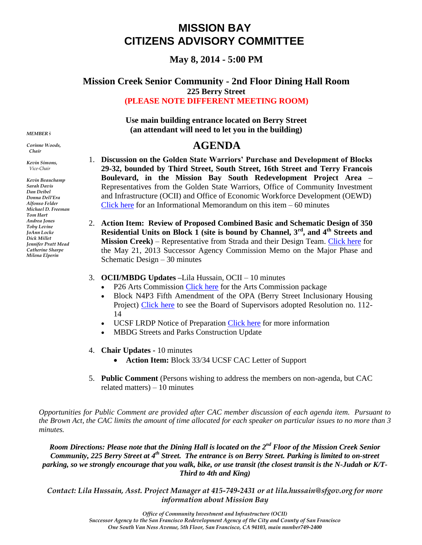## **MISSION BAY CITIZENS ADVISORY COMMITTEE**

**May 8, 2014 - 5:00 PM**

## **Mission Creek Senior Community - 2nd Floor Dining Hall Room 225 Berry Street (PLEASE NOTE DIFFERENT MEETING ROOM)**

**Use main building entrance located on Berry Street (an attendant will need to let you in the building)**

## **AGENDA**

- 1. Discussion on the Golden State Warriors' Purchase and Development of Blocks **29-32, bounded by Third Street, South Street, 16th Street and Terry Francois Boulevard, in the Mission Bay South Redevelopment Project Area –** Representatives from the Golden State Warriors, Office of Community Investment and Infrastructure (OCII) and Office of Economic Workforce Development (OEWD) [Click here](http://www.sfredevelopment.org/modules/showdocument.aspx?documentid=6556) for an Informational Memorandum on this item  $-60$  minutes
- 2. **Action Item: Review of Proposed Combined Basic and Schematic Design of 350 Residential Units on Block 1 (site is bound by Channel, 3rd, and 4th Streets and Mission Creek)** – Representative from Strada and their Design Team. [Click here](http://www.sfredevelopment.org/modules/showdocument.aspx?documentid=4553) for the May 21, 2013 Successor Agency Commission Memo on the Major Phase and Schematic Design – 30 minutes
- 3. **OCII/MBDG Updates –**Lila Hussain, OCII 10 minutes
	- P26 Arts Commission [Click here](http://sfgov.org/arts/sites/sfgov.org.arts/files/Mission_Bay_Park_P26_Presentation042114.pdf) for the Arts Commission package
	- Block N4P3 Fifth Amendment of the OPA (Berry Street Inclusionary Housing Project) [Click here](http://www.sfbos.org/ftp/uploadedfiles/bdsupvrs/resolutions14/r0112-14.pdf) to see the Board of Supervisors adopted Resolution no. 112- 14
	- UCSF LRDP Notice of Preparation [Click here](http://www.ucsf.edu/about/cgr/current-projects/lrdp) for more information
	- MBDG Streets and Parks Construction Update
- 4. **Chair Updates -** 10 minutes
	- **Action Item:** Block 33/34 UCSF CAC Letter of Support
- 5. **Public Comment** (Persons wishing to address the members on non-agenda, but CAC related matters) – 10 minutes

*Opportunities for Public Comment are provided after CAC member discussion of each agenda item. Pursuant to the Brown Act, the CAC limits the amount of time allocated for each speaker on particular issues to no more than 3 minutes.*

*Room Directions: Please note that the Dining Hall is located on the 2nd Floor of the Mission Creek Senior Community, 225 Berry Street at 4th Street. The entrance is on Berry Street. Parking is limited to on-street parking, so we strongly encourage that you walk, bike, or use transit (the closest transit is the N-Judah or K/T-Third to 4th and King)*

*Contact: Lila Hussain, Asst. Project Manager at 415-749-2431 or at lila.hussain@sfgov.org for more information about Mission Bay* 

*MEMBERS*

*Corinne Woods, Chair*

*Kevin Simons, Vice-Chair*

*Kevin Beauchamp Sarah Davis Dan Deibel Donna Dell'Era Alfonso Felder Michael D. Freeman Tom Hart Andrea Jones Toby Levine JoAnn Locke Dick Millet Jennifer Pratt Mead Catherine Sharpe Milena Elperin*